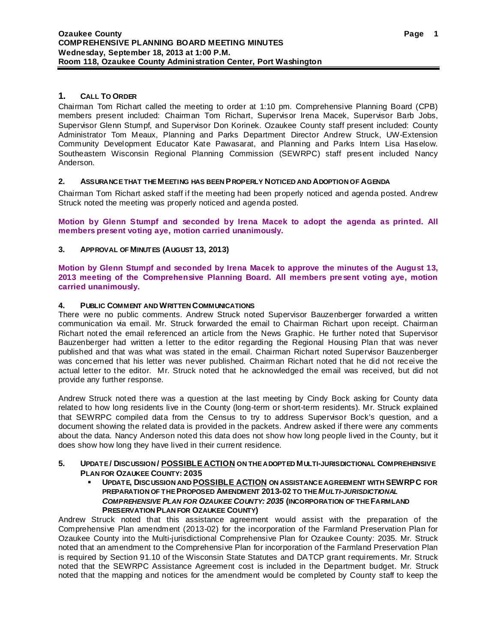## **1. CALL TO ORDER**

Chairman Tom Richart called the meeting to order at 1:10 pm. Comprehensive Planning Board (CPB) members present included: Chairman Tom Richart, Supervisor Irena Macek, Supervisor Barb Jobs, Supervisor Glenn Stumpf, and Supervisor Don Korinek. Ozaukee County staff present included: County Administrator Tom Meaux, Planning and Parks Department Director Andrew Struck, UW-Extension Community Development Educator Kate Pawasarat, and Planning and Parks Intern Lisa Haselow. Southeastern Wisconsin Regional Planning Commission (SEWRPC) staff present included Nancy Anderson.

## **2. ASSURANCE THAT THE MEETING HAS BEEN PROPERLY NOTICED AND ADOPTION OF AGENDA**

Chairman Tom Richart asked staff if the meeting had been properly noticed and agenda posted. Andrew Struck noted the meeting was properly noticed and agenda posted.

**Motion by Glenn Stumpf and seconded by Irena Macek to adopt the agenda as printed. All members present voting aye, motion carried unanimously.**

# **3. APPROVAL OF MINUTES (AUGUST 13, 2013)**

**Motion by Glenn Stumpf and seconded by Irena Macek to approve the minutes of the August 13, 2013 meeting of the Comprehensive Planning Board. All members present voting aye, motion carried unanimously.**

## **4. PUBLIC COMMENT AND WRITTEN COMMUNICATIONS**

There were no public comments. Andrew Struck noted Supervisor Bauzenberger forwarded a written communication via email. Mr. Struck forwarded the email to Chairman Richart upon receipt. Chairman Richart noted the email referenced an article from the News Graphic. He further noted that Supervisor Bauzenberger had written a letter to the editor regarding the Regional Housing Plan that was never published and that was what was stated in the email. Chairman Richart noted Supervisor Bauzenberger was concerned that his letter was never published. Chairman Richart noted that he did not receive the actual letter to the editor. Mr. Struck noted that he acknowledged the email was received, but did not provide any further response.

Andrew Struck noted there was a question at the last meeting by Cindy Bock asking for County data related to how long residents live in the County (long-term or short-term residents). Mr. Struck explained that SEWRPC compiled data from the Census to try to address Supervisor Bock's question, and a document showing the related data is provided in the packets. Andrew asked if there were any comments about the data. Nancy Anderson noted this data does not show how long people lived in the County, but it does show how long they have lived in their current residence.

## **5. UPDATE / DISCUSSION / POSSIBLE ACTION ON THE ADOPTED MULTI-JURISDICTIONAL COMPREHENSIVE PLAN FOR OZAUKEE COUNTY: 2035**

 **UPDATE, DISCUSSION AND POSSIBLE ACTION ON ASSISTANCE AGREEMENT WITH SEWRPC FOR PREPARATION OF THE PROPOSED AMENDMENT 2013-02 TO THE** *MULTI-JURISDICTIONAL COMPREHENSIVE PLAN FOR OZAUKEE COUNTY: 2035* **(INCORPORATION OF THEFARMLAND PRESERVATION PLAN FOR OZAUKEE COUNTY)**

Andrew Struck noted that this assistance agreement would assist with the preparation of the Comprehensive Plan amendment (2013-02) for the incorporation of the Farmland Preservation Plan for Ozaukee County into the Multi-jurisdictional Comprehensive Plan for Ozaukee County: 2035. Mr. Struck noted that an amendment to the Comprehensive Plan for incorporation of the Farmland Preservation Plan is required by Section 91.10 of the Wisconsin State Statutes and DATCP grant requirements. Mr. Struck noted that the SEWRPC Assistance Agreement cost is included in the Department budget. Mr. Struck noted that the mapping and notices for the amendment would be completed by County staff to keep the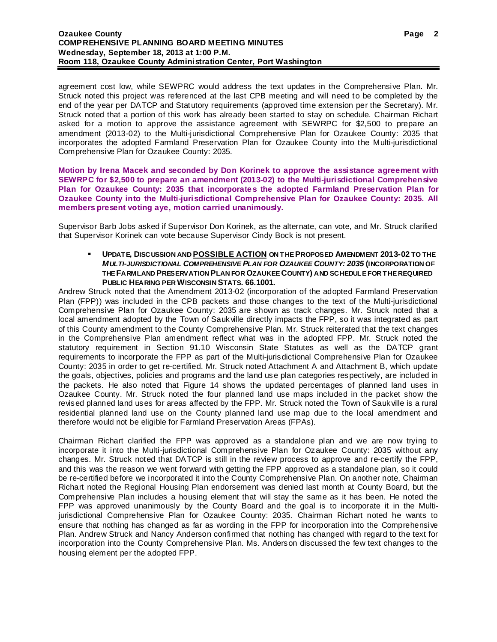agreement cost low, while SEWPRC would address the text updates in the Comprehensive Plan. Mr. Struck noted this project was referenced at the last CPB meeting and will need to be completed by the end of the year per DATCP and Statutory requirements (approved time extension per the Secretary). Mr. Struck noted that a portion of this work has already been started to stay on schedule. Chairman Richart asked for a motion to approve the assistance agreement with SEWRPC for \$2,500 to prepare an amendment (2013-02) to the Multi-jurisdictional Comprehensive Plan for Ozaukee County: 2035 that incorporates the adopted Farmland Preservation Plan for Ozaukee County into the Multi-jurisdictional Comprehensive Plan for Ozaukee County: 2035.

**Motion by Irena Macek and seconded by Don Korinek to approve the assistance agreement with SEWRPC for \$2,500 to prepare an amendment (2013-02) to the Multi-jurisdictional Comprehensive Plan for Ozaukee County: 2035 that incorporates the adopted Farmland Preservation Plan for Ozaukee County into the Multi-jurisdictional Comprehensive Plan for Ozaukee County: 2035. All members present voting aye, motion carried unanimously.**

Supervisor Barb Jobs asked if Supervisor Don Korinek, as the alternate, can vote, and Mr. Struck clarified that Supervisor Korinek can vote because Supervisor Cindy Bock is not present.

 **UPDATE, DISCUSSION AND POSSIBLE ACTION ON THE PROPOSED AMENDMENT 2013-02 TO THE**  *MULTI-JURISDICTIONAL COMPREHENSIVE PLAN FOR OZAUKEE COUNTY: 2035* **(INCORPORATION OF THE FARMLAND PRESERVATION PLAN FOR OZAUKEE COUNTY) AND SCHEDULE FOR THE REQUIRED PUBLIC HEARING PER WISCONSIN STATS. 66.1001.**

Andrew Struck noted that the Amendment 2013-02 (incorporation of the adopted Farmland Preservation Plan (FPP)) was included in the CPB packets and those changes to the text of the Multi-jurisdictional Comprehensive Plan for Ozaukee County: 2035 are shown as track changes. Mr. Struck noted that a local amendment adopted by the Town of Saukville directly impacts the FPP, so it was integrated as part of this County amendment to the County Comprehensive Plan. Mr. Struck reiterated that the text changes in the Comprehensive Plan amendment reflect what was in the adopted FPP. Mr. Struck noted the statutory requirement in Section 91.10 Wisconsin State Statutes as well as the DATCP grant requirements to incorporate the FPP as part of the Multi-jurisdictional Comprehensive Plan for Ozaukee County: 2035 in order to get re-certified. Mr. Struck noted Attachment A and Attachment B, which update the goals, objectives, policies and programs and the land use plan categories respectively, are included in the packets. He also noted that Figure 14 shows the updated percentages of planned land uses in Ozaukee County. Mr. Struck noted the four planned land use maps included in the packet show the revised planned land uses for areas affected by the FPP. Mr. Struck noted the Town of Saukville is a rural residential planned land use on the County planned land use map due to the local amendment and therefore would not be eligible for Farmland Preservation Areas (FPAs).

Chairman Richart clarified the FPP was approved as a standalone plan and we are now trying to incorporate it into the Multi-jurisdictional Comprehensive Plan for Ozaukee County: 2035 without any changes. Mr. Struck noted that DATCP is still in the review process to approve and re-certify the FPP, and this was the reason we went forward with getting the FPP approved as a standalone plan, so it could be re-certified before we incorporated it into the County Comprehensive Plan. On another note, Chairman Richart noted the Regional Housing Plan endorsement was denied last month at County Board, but the Comprehensive Plan includes a housing element that will stay the same as it has been. He noted the FPP was approved unanimously by the County Board and the goal is to incorporate it in the Multijurisdictional Comprehensive Plan for Ozaukee County: 2035. Chairman Richart noted he wants to ensure that nothing has changed as far as wording in the FPP for incorporation into the Comprehensive Plan. Andrew Struck and Nancy Anderson confirmed that nothing has changed with regard to the text for incorporation into the County Comprehensive Plan. Ms. Anderson discussed the few text changes to the housing element per the adopted FPP.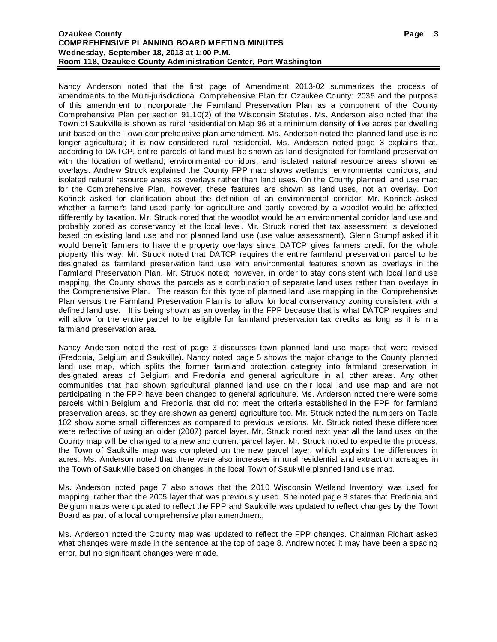#### **Ozaukee County COMPREHENSIVE PLANNING BOARD MEETING MINUTES Wednesday, September 18, 2013 at 1:00 P.M. Room 118, Ozaukee County Administration Center, Port Washington**

Nancy Anderson noted that the first page of Amendment 2013-02 summarizes the process of amendments to the Multi-jurisdictional Comprehensive Plan for Ozaukee County: 2035 and the purpose of this amendment to incorporate the Farmland Preservation Plan as a component of the County Comprehensive Plan per section 91.10(2) of the Wisconsin Statutes. Ms. Anderson also noted that the Town of Saukville is shown as rural residential on Map 96 at a minimum density of five acres per dwelling unit based on the Town comprehensive plan amendment. Ms. Anderson noted the planned land use is no longer agricultural; it is now considered rural residential. Ms. Anderson noted page 3 explains that, according to DATCP, entire parcels of land must be shown as land designated for farmland preservation with the location of wetland, environmental corridors, and isolated natural resource areas shown as overlays. Andrew Struck explained the County FPP map shows wetlands, environmental corridors, and isolated natural resource areas as overlays rather than land uses. On the County planned land use map for the Comprehensive Plan, however, these features are shown as land uses, not an overlay. Don Korinek asked for clarification about the definition of an environmental corridor. Mr. Korinek asked whether a farmer's land used partly for agriculture and partly covered by a woodlot would be affected differently by taxation. Mr. Struck noted that the woodlot would be an environmental corridor land use and probably zoned as conservancy at the local level. Mr. Struck noted that tax assessment is developed based on existing land use and not planned land use (use value assessment). Glenn Stumpf asked if it would benefit farmers to have the property overlays since DATCP gives farmers credit for the whole property this way. Mr. Struck noted that DATCP requires the entire farmland preservation parcel to be designated as farmland preservation land use with environmental features shown as overlays in the Farmland Preservation Plan. Mr. Struck noted; however, in order to stay consistent with local land use mapping, the County shows the parcels as a combination of separate land uses rather than overlays in the Comprehensive Plan. The reason for this type of planned land use mapping in the Comprehensive Plan versus the Farmland Preservation Plan is to allow for local conservancy zoning consistent with a defined land use. It is being shown as an overlay in the FPP because that is what DATCP requires and will allow for the entire parcel to be eligible for farmland preservation tax credits as long as it is in a farmland preservation area.

Nancy Anderson noted the rest of page 3 discusses town planned land use maps that were revised (Fredonia, Belgium and Saukville). Nancy noted page 5 shows the major change to the County planned land use map, which splits the former farmland protection category into farmland preservation in designated areas of Belgium and Fredonia and general agriculture in all other areas. Any other communities that had shown agricultural planned land use on their local land use map and are not participating in the FPP have been changed to general agriculture. Ms. Anderson noted there were some parcels within Belgium and Fredonia that did not meet the criteria established in the FPP for farmland preservation areas, so they are shown as general agriculture too. Mr. Struck noted the numbers on Table 102 show some small differences as compared to previous versions. Mr. Struck noted these differences were reflective of using an older (2007) parcel layer. Mr. Struck noted next year all the land uses on the County map will be changed to a new and current parcel layer. Mr. Struck noted to expedite the process, the Town of Saukville map was completed on the new parcel layer, which explains the differences in acres. Ms. Anderson noted that there were also increases in rural residential and extraction acreages in the Town of Saukville based on changes in the local Town of Saukville planned land use map.

Ms. Anderson noted page 7 also shows that the 2010 Wisconsin Wetland Inventory was used for mapping, rather than the 2005 layer that was previously used. She noted page 8 states that Fredonia and Belgium maps were updated to reflect the FPP and Saukville was updated to reflect changes by the Town Board as part of a local comprehensive plan amendment.

Ms. Anderson noted the County map was updated to reflect the FPP changes. Chairman Richart asked what changes were made in the sentence at the top of page 8. Andrew noted it may have been a spacing error, but no significant changes were made.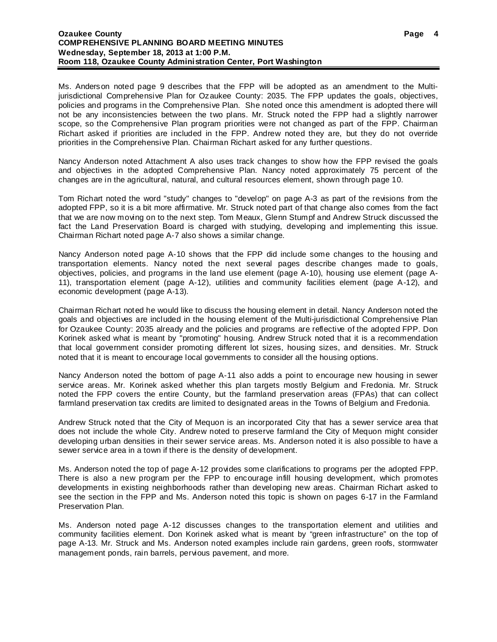Ms. Anderson noted page 9 describes that the FPP will be adopted as an amendment to the Multijurisdictional Comprehensive Plan for Ozaukee County: 2035. The FPP updates the goals, objectives, policies and programs in the Comprehensive Plan. She noted once this amendment is adopted there will not be any inconsistencies between the two plans. Mr. Struck noted the FPP had a slightly narrower scope, so the Comprehensive Plan program priorities were not changed as part of the FPP. Chairman Richart asked if priorities are included in the FPP. Andrew noted they are, but they do not override priorities in the Comprehensive Plan. Chairman Richart asked for any further questions.

Nancy Anderson noted Attachment A also uses track changes to show how the FPP revised the goals and objectives in the adopted Comprehensive Plan. Nancy noted approximately 75 percent of the changes are in the agricultural, natural, and cultural resources element, shown through page 10.

Tom Richart noted the word "study" changes to "develop" on page A-3 as part of the revisions from the adopted FPP, so it is a bit more affirmative. Mr. Struck noted part of that change also comes from the fact that we are now moving on to the next step. Tom Meaux, Glenn Stumpf and Andrew Struck discussed the fact the Land Preservation Board is charged with studying, developing and implementing this issue. Chairman Richart noted page A-7 also shows a similar change.

Nancy Anderson noted page A-10 shows that the FPP did include some changes to the housing and transportation elements. Nancy noted the next several pages describe changes made to goals, objectives, policies, and programs in the land use element (page A-10), housing use element (page A-11), transportation element (page A-12), utilities and community facilities element (page A-12), and economic development (page A-13).

Chairman Richart noted he would like to discuss the housing element in detail. Nancy Anderson noted the goals and objectives are included in the housing element of the Multi-jurisdictional Comprehensive Plan for Ozaukee County: 2035 already and the policies and programs are reflective of the adopted FPP. Don Korinek asked what is meant by "promoting" housing. Andrew Struck noted that it is a recommendation that local government consider promoting different lot sizes, housing sizes, and densities. Mr. Struck noted that it is meant to encourage local governments to consider all the housing options.

Nancy Anderson noted the bottom of page A-11 also adds a point to encourage new housing in sewer service areas. Mr. Korinek asked whether this plan targets mostly Belgium and Fredonia. Mr. Struck noted the FPP covers the entire County, but the farmland preservation areas (FPAs) that can collect farmland preservation tax credits are limited to designated areas in the Towns of Belgium and Fredonia.

Andrew Struck noted that the City of Mequon is an incorporated City that has a sewer service area that does not include the whole City. Andrew noted to preserve farmland the City of Mequon might consider developing urban densities in their sewer service areas. Ms. Anderson noted it is also possible to have a sewer service area in a town if there is the density of development.

Ms. Anderson noted the top of page A-12 provides some clarifications to programs per the adopted FPP. There is also a new program per the FPP to encourage infill housing development, which promotes developments in existing neighborhoods rather than developing new areas. Chairman Richart asked to see the section in the FPP and Ms. Anderson noted this topic is shown on pages 6-17 in the Farmland Preservation Plan.

Ms. Anderson noted page A-12 discusses changes to the transportation element and utilities and community facilities element. Don Korinek asked what is meant by "green infrastructure" on the top of page A-13. Mr. Struck and Ms. Anderson noted examples include rain gardens, green roofs, stormwater management ponds, rain barrels, pervious pavement, and more.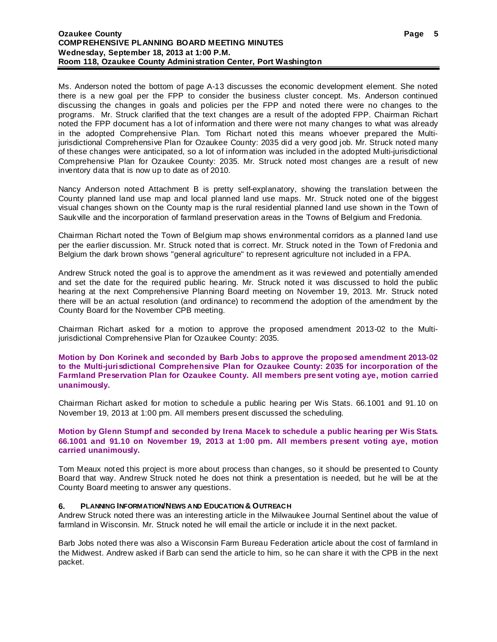Ms. Anderson noted the bottom of page A-13 discusses the economic development element. She noted there is a new goal per the FPP to consider the business cluster concept. Ms. Anderson continued discussing the changes in goals and policies per the FPP and noted there were no changes to the programs. Mr. Struck clarified that the text changes are a result of the adopted FPP. Chairman Richart noted the FPP document has a lot of information and there were not many changes to what was already in the adopted Comprehensive Plan. Tom Richart noted this means whoever prepared the Multijurisdictional Comprehensive Plan for Ozaukee County: 2035 did a very good job. Mr. Struck noted many of these changes were anticipated, so a lot of information was included in the adopted Multi-jurisdictional Comprehensive Plan for Ozaukee County: 2035. Mr. Struck noted most changes are a result of new inventory data that is now up to date as of 2010.

Nancy Anderson noted Attachment B is pretty self-explanatory, showing the translation between the County planned land use map and local planned land use maps. Mr. Struck noted one of the biggest visual changes shown on the County map is the rural residential planned land use shown in the Town of Saukville and the incorporation of farmland preservation areas in the Towns of Belgium and Fredonia.

Chairman Richart noted the Town of Belgium map shows environmental corridors as a planned land use per the earlier discussion. Mr. Struck noted that is correct. Mr. Struck noted in the Town of Fredonia and Belgium the dark brown shows "general agriculture" to represent agriculture not included in a FPA.

Andrew Struck noted the goal is to approve the amendment as it was reviewed and potentially amended and set the date for the required public hearing. Mr. Struck noted it was discussed to hold the public hearing at the next Comprehensive Planning Board meeting on November 19, 2013. Mr. Struck noted there will be an actual resolution (and ordinance) to recommend the adoption of the amendment by the County Board for the November CPB meeting.

Chairman Richart asked for a motion to approve the proposed amendment 2013-02 to the Multijurisdictional Comprehensive Plan for Ozaukee County: 2035.

#### **Motion by Don Korinek and seconded by Barb Jobs to approve the proposed amendment 2013-02 to the Multi-jurisdictional Comprehensive Plan for Ozaukee County: 2035 for incorporation of the Farmland Preservation Plan for Ozaukee County. All members present voting aye, motion carried unanimously.**

Chairman Richart asked for motion to schedule a public hearing per Wis Stats. 66.1001 and 91.10 on November 19, 2013 at 1:00 pm. All members present discussed the scheduling.

### **Motion by Glenn Stumpf and seconded by Irena Macek to schedule a public hearing per Wis Stats. 66.1001 and 91.10 on November 19, 2013 at 1:00 pm. All members present voting aye, motion carried unanimously.**

Tom Meaux noted this project is more about process than changes, so it should be presented to County Board that way. Andrew Struck noted he does not think a presentation is needed, but he will be at the County Board meeting to answer any questions.

## **6. PLANNING INFORMATION/NEWS AND EDUCATION & OUTREACH**

Andrew Struck noted there was an interesting article in the Milwaukee Journal Sentinel about the value of farmland in Wisconsin. Mr. Struck noted he will email the article or include it in the next packet.

Barb Jobs noted there was also a Wisconsin Farm Bureau Federation article about the cost of farmland in the Midwest. Andrew asked if Barb can send the article to him, so he can share it with the CPB in the next packet.